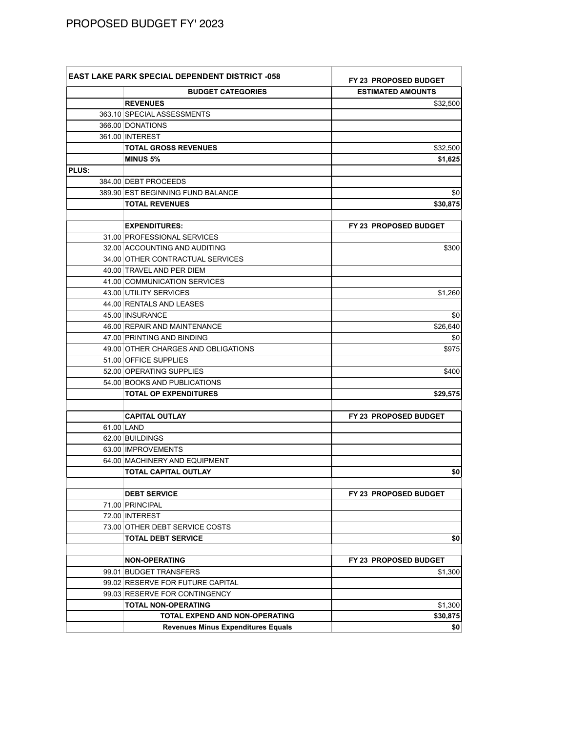## PROPOSED BUDGET FY' 2023

|              | <b>EAST LAKE PARK SPECIAL DEPENDENT DISTRICT -058</b>       | <b>FY 23 PROPOSED BUDGET</b> |  |
|--------------|-------------------------------------------------------------|------------------------------|--|
|              | <b>BUDGET CATEGORIES</b>                                    | <b>ESTIMATED AMOUNTS</b>     |  |
|              | <b>REVENUES</b>                                             | \$32,500                     |  |
|              | 363.10 SPECIAL ASSESSMENTS                                  |                              |  |
|              | 366.00 DONATIONS                                            |                              |  |
|              | 361.00 INTEREST                                             |                              |  |
|              | <b>TOTAL GROSS REVENUES</b>                                 | \$32,500                     |  |
|              | <b>MINUS 5%</b>                                             | \$1,625                      |  |
| <b>PLUS:</b> |                                                             |                              |  |
|              | 384.00 DEBT PROCEEDS                                        |                              |  |
|              | 389.90 EST BEGINNING FUND BALANCE                           | \$0                          |  |
|              | <b>TOTAL REVENUES</b>                                       | \$30,875                     |  |
|              |                                                             |                              |  |
|              | <b>EXPENDITURES:</b>                                        | FY 23 PROPOSED BUDGET        |  |
|              | 31.00 PROFESSIONAL SERVICES                                 |                              |  |
|              | 32.00 ACCOUNTING AND AUDITING                               | \$300                        |  |
|              | 34.00 OTHER CONTRACTUAL SERVICES                            |                              |  |
|              | 40.00 TRAVEL AND PER DIEM                                   |                              |  |
|              | 41.00 COMMUNICATION SERVICES                                |                              |  |
|              | 43.00 UTILITY SERVICES                                      | \$1,260                      |  |
|              | 44.00 RENTALS AND LEASES                                    |                              |  |
|              | 45.00 INSURANCE                                             | \$0                          |  |
|              | 46.00 REPAIR AND MAINTENANCE                                | \$26,640                     |  |
|              | 47.00 PRINTING AND BINDING                                  | \$0                          |  |
|              | 49.00 OTHER CHARGES AND OBLIGATIONS                         | \$975                        |  |
|              | 51.00 OFFICE SUPPLIES                                       |                              |  |
|              | 52.00 OPERATING SUPPLIES                                    | \$400                        |  |
|              | 54.00 BOOKS AND PUBLICATIONS                                |                              |  |
|              | <b>TOTAL OP EXPENDITURES</b>                                | \$29,575                     |  |
|              |                                                             |                              |  |
|              | <b>CAPITAL OUTLAY</b>                                       | FY 23 PROPOSED BUDGET        |  |
|              | 61.00 LAND                                                  |                              |  |
|              | 62.00 BUILDINGS                                             |                              |  |
|              | 63.00 IMPROVEMENTS                                          |                              |  |
|              | 64.00 MACHINERY AND EQUIPMENT                               |                              |  |
|              | <b>TOTAL CAPITAL OUTLAY</b>                                 | \$0                          |  |
|              |                                                             | FY 23 PROPOSED BUDGET        |  |
|              | <b>DEBT SERVICE</b>                                         |                              |  |
|              | 71.00 PRINCIPAL<br>72.00 INTEREST                           |                              |  |
|              |                                                             |                              |  |
|              | 73.00 OTHER DEBT SERVICE COSTS<br><b>TOTAL DEBT SERVICE</b> |                              |  |
|              |                                                             | \$0                          |  |
|              | <b>NON-OPERATING</b>                                        | FY 23 PROPOSED BUDGET        |  |
|              | 99.01 BUDGET TRANSFERS                                      | \$1,300                      |  |
|              | 99.02 RESERVE FOR FUTURE CAPITAL                            |                              |  |
|              | 99.03 RESERVE FOR CONTINGENCY                               |                              |  |
|              | <b>TOTAL NON-OPERATING</b>                                  | \$1,300                      |  |
|              | <b>TOTAL EXPEND AND NON-OPERATING</b>                       | \$30,875                     |  |
|              | <b>Revenues Minus Expenditures Equals</b>                   | \$0                          |  |